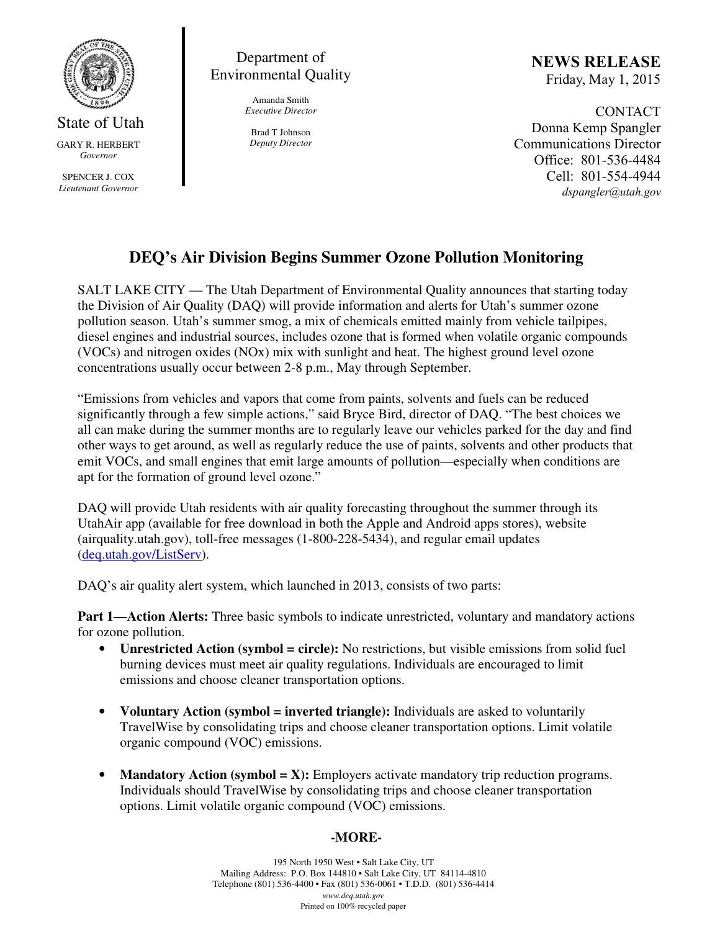

State of Utah GARY R. HERBERT *Governor* 

SPENCER J. COX *Lieutenant Governor* 

Department of Environmental Quality

> Amanda Smith *Executive Director*

Brad T Johnson *Deputy Director*  NEWS RELEASE Friday, May 1, 2015

CONTACT Donna Kemp Spangler Communications Director Office: 801-536-4484 Cell: 801-554-4944 dspangler@utah.gov

## **DEQ's Air Division Begins Summer Ozone Pollution Monitoring**

SALT LAKE CITY — The Utah Department of Environmental Quality announces that starting today the Division of Air Quality (DAQ) will provide information and alerts for Utah's summer ozone pollution season. Utah's summer smog, a mix of chemicals emitted mainly from vehicle tailpipes, diesel engines and industrial sources, includes ozone that is formed when volatile organic compounds (VOCs) and nitrogen oxides (NOx) mix with sunlight and heat. The highest ground level ozone concentrations usually occur between 2-8 p.m., May through September.

"Emissions from vehicles and vapors that come from paints, solvents and fuels can be reduced significantly through a few simple actions," said Bryce Bird, director of DAQ. "The best choices we all can make during the summer months are to regularly leave our vehicles parked for the day and find other ways to get around, as well as regularly reduce the use of paints, solvents and other products that emit VOCs, and small engines that emit large amounts of pollution—especially when conditions are apt for the formation of ground level ozone."

DAQ will provide Utah residents with air quality forecasting throughout the summer through its UtahAir app (available for free download in both the Apple and Android apps stores), website (airquality.utah.gov), toll-free messages (1-800-228-5434), and regular email updates (deq.utah.gov/ListServ).

DAQ's air quality alert system, which launched in 2013, consists of two parts:

**Part 1—Action Alerts:** Three basic symbols to indicate unrestricted, voluntary and mandatory actions for ozone pollution.

- **Unrestricted Action (symbol = circle):** No restrictions, but visible emissions from solid fuel burning devices must meet air quality regulations. Individuals are encouraged to limit emissions and choose cleaner transportation options.
- **Voluntary Action (symbol = inverted triangle):** Individuals are asked to voluntarily TravelWise by consolidating trips and choose cleaner transportation options. Limit volatile organic compound (VOC) emissions.
- **Mandatory Action (symbol = X):** Employers activate mandatory trip reduction programs. Individuals should TravelWise by consolidating trips and choose cleaner transportation options. Limit volatile organic compound (VOC) emissions.

## **-MORE-**

195 North 1950 West • Salt Lake City, UT Mailing Address: P.O. Box 144810 • Salt Lake City, UT 84114-4810 Telephone (801) 536-4400 • Fax (801) 536-0061 • T.D.D. (801) 536-4414 *www.deq.utah.gov*  Printed on 100% recycled paper